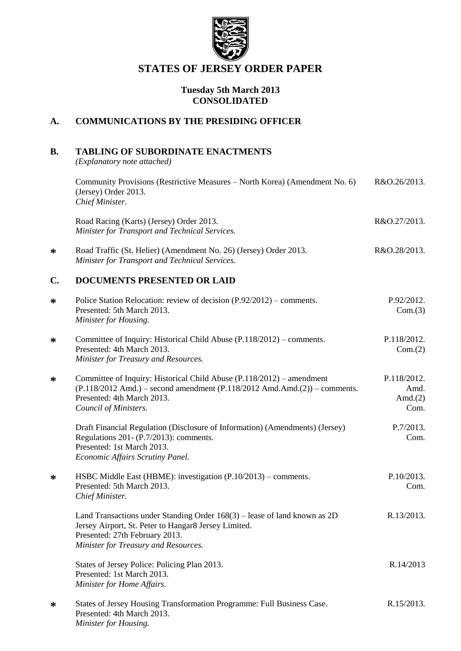

# **STATES OF JERSEY ORDER PAPER**

### **Tuesday 5th March 2013 CONSOLIDATED**

### **A. COMMUNICATIONS BY THE PRESIDING OFFICER**

# **B. TABLING OF SUBORDINATE ENACTMENTS**

*(Explanatory note attached)*

**\***

**\***

**\***

**\***

**\***

|        | Community Provisions (Restrictive Measures – North Korea) (Amendment No. 6)<br>(Jersey) Order 2013.<br>Chief Minister.                                                                                           | R&O.26/2013.                              |
|--------|------------------------------------------------------------------------------------------------------------------------------------------------------------------------------------------------------------------|-------------------------------------------|
|        | Road Racing (Karts) (Jersey) Order 2013.<br>Minister for Transport and Technical Services.                                                                                                                       | R&O.27/2013.                              |
| $\ast$ | Road Traffic (St. Helier) (Amendment No. 26) (Jersey) Order 2013.<br>Minister for Transport and Technical Services.                                                                                              | R&O.28/2013.                              |
| C.     | <b>DOCUMENTS PRESENTED OR LAID</b>                                                                                                                                                                               |                                           |
| $\ast$ | Police Station Relocation: review of decision (P.92/2012) – comments.<br>Presented: 5th March 2013.<br>Minister for Housing.                                                                                     | P.92/2012.<br>Com.(3)                     |
| ∗      | Committee of Inquiry: Historical Child Abuse (P.118/2012) – comments.<br>Presented: 4th March 2013.<br>Minister for Treasury and Resources.                                                                      | P.118/2012.<br>Com.(2)                    |
| ∗      | Committee of Inquiry: Historical Child Abuse (P.118/2012) – amendment<br>$(P.118/2012$ Amd.) – second amendment $(P.118/2012$ Amd.Amd. $(2))$ – comments.<br>Presented: 4th March 2013.<br>Council of Ministers. | P.118/2012.<br>Amd.<br>Amd. $(2)$<br>Com. |
|        | Draft Financial Regulation (Disclosure of Information) (Amendments) (Jersey)<br>Regulations 201- (P.7/2013): comments.<br>Presented: 1st March 2013.<br>Economic Affairs Scrutiny Panel.                         | P.7/2013.<br>Com.                         |
| ∗      | HSBC Middle East (HBME): investigation (P.10/2013) – comments.<br>Presented: 5th March 2013.<br>Chief Minister.                                                                                                  | P.10/2013.<br>Com.                        |
|        | Land Transactions under Standing Order $168(3)$ – lease of land known as 2D<br>Jersey Airport, St. Peter to Hangar8 Jersey Limited.<br>Presented: 27th February 2013.<br>Minister for Treasury and Resources.    | R.13/2013.                                |
|        | States of Jersey Police: Policing Plan 2013.<br>Presented: 1st March 2013.<br>Minister for Home Affairs.                                                                                                         | R.14/2013                                 |
| ∗      | States of Jersey Housing Transformation Programme: Full Business Case.<br>Presented: 4th March 2013.<br>Minister for Housing.                                                                                    | R.15/2013.                                |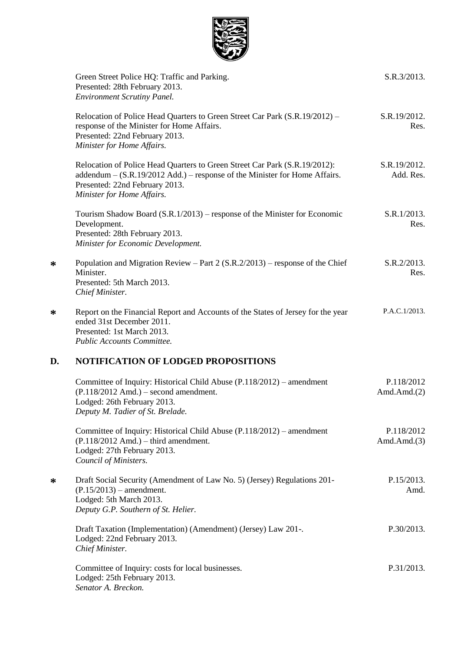

|    | Green Street Police HQ: Traffic and Parking.<br>Presented: 28th February 2013.<br><b>Environment Scrutiny Panel.</b>                                                                                                     | S.R.3/2013.                  |
|----|--------------------------------------------------------------------------------------------------------------------------------------------------------------------------------------------------------------------------|------------------------------|
|    | Relocation of Police Head Quarters to Green Street Car Park (S.R.19/2012) -<br>response of the Minister for Home Affairs.<br>Presented: 22nd February 2013.<br>Minister for Home Affairs.                                | S.R.19/2012.<br>Res.         |
|    | Relocation of Police Head Quarters to Green Street Car Park (S.R.19/2012):<br>addendum – (S.R.19/2012 Add.) – response of the Minister for Home Affairs.<br>Presented: 22nd February 2013.<br>Minister for Home Affairs. | S.R.19/2012.<br>Add. Res.    |
|    | Tourism Shadow Board (S.R.1/2013) – response of the Minister for Economic<br>Development.<br>Presented: 28th February 2013.<br>Minister for Economic Development.                                                        | S.R.1/2013.<br>Res.          |
| ∗  | Population and Migration Review – Part 2 $(S.R.2/2013)$ – response of the Chief<br>Minister.<br>Presented: 5th March 2013.<br>Chief Minister.                                                                            | S.R.2/2013.<br>Res.          |
| ∗  | Report on the Financial Report and Accounts of the States of Jersey for the year<br>ended 31st December 2011.<br>Presented: 1st March 2013.<br>Public Accounts Committee.                                                | P.A.C.1/2013.                |
| D. | NOTIFICATION OF LODGED PROPOSITIONS                                                                                                                                                                                      |                              |
|    | Committee of Inquiry: Historical Child Abuse (P.118/2012) – amendment<br>$(P.118/2012$ Amd.) – second amendment.<br>Lodged: 26th February 2013.<br>Deputy M. Tadier of St. Brelade.                                      | P.118/2012<br>Amd. $Amd.(2)$ |
|    | Committee of Inquiry: Historical Child Abuse (P.118/2012) – amendment<br>$(P.118/2012$ Amd.) – third amendment.<br>Lodged: 27th February 2013.<br>Council of Ministers.                                                  | P.118/2012<br>Amd.Amd. $(3)$ |
| ∗  | Draft Social Security (Amendment of Law No. 5) (Jersey) Regulations 201-<br>$(P.15/2013)$ – amendment.<br>Lodged: 5th March 2013.<br>Deputy G.P. Southern of St. Helier.                                                 | P.15/2013.<br>Amd.           |
|    | Draft Taxation (Implementation) (Amendment) (Jersey) Law 201-.<br>Lodged: 22nd February 2013.<br>Chief Minister.                                                                                                         | P.30/2013.                   |
|    | Committee of Inquiry: costs for local businesses.<br>Lodged: 25th February 2013.<br>Senator A. Breckon.                                                                                                                  | P.31/2013.                   |

**\***

**\***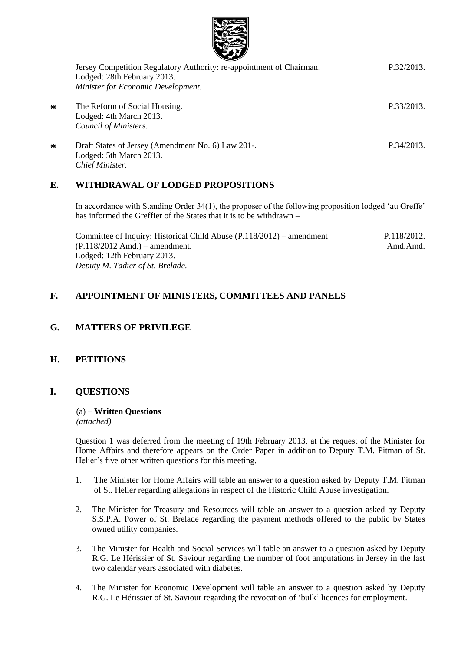

| Jersey Competition Regulatory Authority: re-appointment of Chairman.<br>Lodged: 28th February 2013.<br>Minister for Economic Development. | P.32/2013. |
|-------------------------------------------------------------------------------------------------------------------------------------------|------------|
| The Reform of Social Housing.<br>Lodged: 4th March 2013.<br>Council of Ministers.                                                         | P.33/2013. |
| Draft States of Jersey (Amendment No. 6) Law 201-.<br>Lodged: 5th March 2013.<br>Chief Minister.                                          | P.34/2013. |

### **E. WITHDRAWAL OF LODGED PROPOSITIONS**

In accordance with Standing Order 34(1), the proposer of the following proposition lodged 'au Greffe' has informed the Greffier of the States that it is to be withdrawn –

Committee of Inquiry: Historical Child Abuse (P.118/2012) – amendment (P.118/2012 Amd.) – amendment. Lodged: 12th February 2013. *Deputy M. Tadier of St. Brelade.* P.118/2012. Amd.Amd.

## **F. APPOINTMENT OF MINISTERS, COMMITTEES AND PANELS**

## **G. MATTERS OF PRIVILEGE**

### **H. PETITIONS**

**\***

**\***

### **I. QUESTIONS**

#### (a) – **Written Questions** *(attached)*

Question 1 was deferred from the meeting of 19th February 2013, at the request of the Minister for Home Affairs and therefore appears on the Order Paper in addition to Deputy T.M. Pitman of St. Helier's five other written questions for this meeting.

- 1. The Minister for Home Affairs will table an answer to a question asked by Deputy T.M. Pitman of St. Helier regarding allegations in respect of the Historic Child Abuse investigation.
- 2. The Minister for Treasury and Resources will table an answer to a question asked by Deputy S.S.P.A. Power of St. Brelade regarding the payment methods offered to the public by States owned utility companies.
- 3. The Minister for Health and Social Services will table an answer to a question asked by Deputy R.G. Le Hérissier of St. Saviour regarding the number of foot amputations in Jersey in the last two calendar years associated with diabetes.
- 4. The Minister for Economic Development will table an answer to a question asked by Deputy R.G. Le Hérissier of St. Saviour regarding the revocation of 'bulk' licences for employment.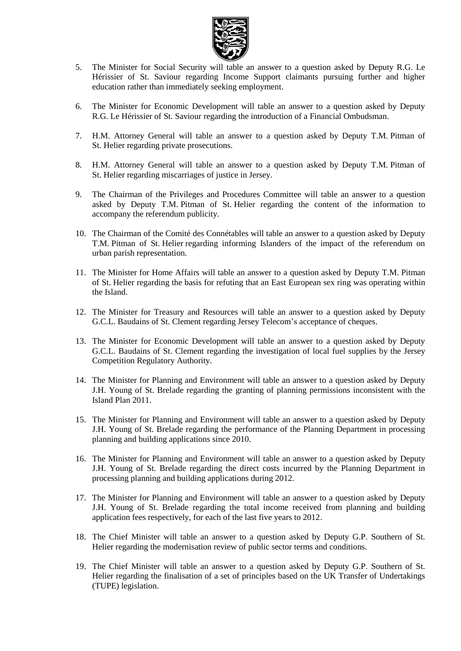

- 5. The Minister for Social Security will table an answer to a question asked by Deputy R.G. Le Hérissier of St. Saviour regarding Income Support claimants pursuing further and higher education rather than immediately seeking employment.
- 6. The Minister for Economic Development will table an answer to a question asked by Deputy R.G. Le Hérissier of St. Saviour regarding the introduction of a Financial Ombudsman.
- 7. H.M. Attorney General will table an answer to a question asked by Deputy T.M. Pitman of St. Helier regarding private prosecutions.
- 8. H.M. Attorney General will table an answer to a question asked by Deputy T.M. Pitman of St. Helier regarding miscarriages of justice in Jersey.
- 9. The Chairman of the Privileges and Procedures Committee will table an answer to a question asked by Deputy T.M. Pitman of St. Helier regarding the content of the information to accompany the referendum publicity.
- 10. The Chairman of the Comité des Connétables will table an answer to a question asked by Deputy T.M. Pitman of St. Helier regarding informing Islanders of the impact of the referendum on urban parish representation.
- 11. The Minister for Home Affairs will table an answer to a question asked by Deputy T.M. Pitman of St. Helier regarding the basis for refuting that an East European sex ring was operating within the Island.
- 12. The Minister for Treasury and Resources will table an answer to a question asked by Deputy G.C.L. Baudains of St. Clement regarding Jersey Telecom's acceptance of cheques.
- 13. The Minister for Economic Development will table an answer to a question asked by Deputy G.C.L. Baudains of St. Clement regarding the investigation of local fuel supplies by the Jersey Competition Regulatory Authority.
- 14. The Minister for Planning and Environment will table an answer to a question asked by Deputy J.H. Young of St. Brelade regarding the granting of planning permissions inconsistent with the Island Plan 2011.
- 15. The Minister for Planning and Environment will table an answer to a question asked by Deputy J.H. Young of St. Brelade regarding the performance of the Planning Department in processing planning and building applications since 2010.
- 16. The Minister for Planning and Environment will table an answer to a question asked by Deputy J.H. Young of St. Brelade regarding the direct costs incurred by the Planning Department in processing planning and building applications during 2012.
- 17. The Minister for Planning and Environment will table an answer to a question asked by Deputy J.H. Young of St. Brelade regarding the total income received from planning and building application fees respectively, for each of the last five years to 2012.
- 18. The Chief Minister will table an answer to a question asked by Deputy G.P. Southern of St. Helier regarding the modernisation review of public sector terms and conditions.
- 19. The Chief Minister will table an answer to a question asked by Deputy G.P. Southern of St. Helier regarding the finalisation of a set of principles based on the UK Transfer of Undertakings (TUPE) legislation.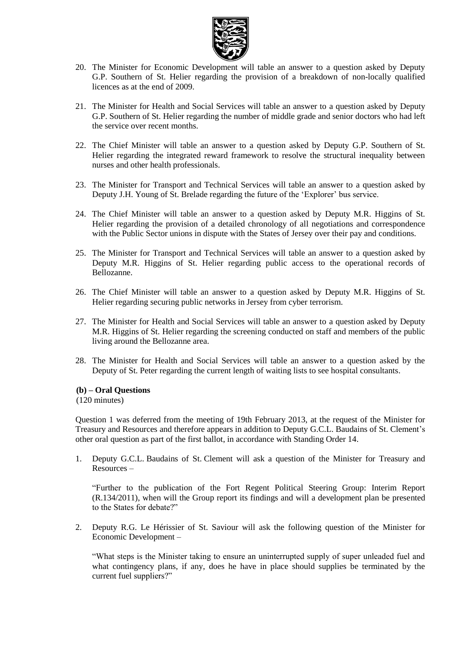

- 20. The Minister for Economic Development will table an answer to a question asked by Deputy G.P. Southern of St. Helier regarding the provision of a breakdown of non-locally qualified licences as at the end of 2009.
- 21. The Minister for Health and Social Services will table an answer to a question asked by Deputy G.P. Southern of St. Helier regarding the number of middle grade and senior doctors who had left the service over recent months.
- 22. The Chief Minister will table an answer to a question asked by Deputy G.P. Southern of St. Helier regarding the integrated reward framework to resolve the structural inequality between nurses and other health professionals.
- 23. The Minister for Transport and Technical Services will table an answer to a question asked by Deputy J.H. Young of St. Brelade regarding the future of the 'Explorer' bus service.
- 24. The Chief Minister will table an answer to a question asked by Deputy M.R. Higgins of St. Helier regarding the provision of a detailed chronology of all negotiations and correspondence with the Public Sector unions in dispute with the States of Jersey over their pay and conditions.
- 25. The Minister for Transport and Technical Services will table an answer to a question asked by Deputy M.R. Higgins of St. Helier regarding public access to the operational records of Bellozanne.
- 26. The Chief Minister will table an answer to a question asked by Deputy M.R. Higgins of St. Helier regarding securing public networks in Jersey from cyber terrorism.
- 27. The Minister for Health and Social Services will table an answer to a question asked by Deputy M.R. Higgins of St. Helier regarding the screening conducted on staff and members of the public living around the Bellozanne area.
- 28. The Minister for Health and Social Services will table an answer to a question asked by the Deputy of St. Peter regarding the current length of waiting lists to see hospital consultants.

#### **(b) – Oral Questions**

(120 minutes)

Question 1 was deferred from the meeting of 19th February 2013, at the request of the Minister for Treasury and Resources and therefore appears in addition to Deputy G.C.L. Baudains of St. Clement's other oral question as part of the first ballot, in accordance with Standing Order 14.

1. Deputy G.C.L. Baudains of St. Clement will ask a question of the Minister for Treasury and Resources –

"Further to the publication of the Fort Regent Political Steering Group: Interim Report (R.134/2011), when will the Group report its findings and will a development plan be presented to the States for debate?"

2. Deputy R.G. Le Hérissier of St. Saviour will ask the following question of the Minister for Economic Development –

"What steps is the Minister taking to ensure an uninterrupted supply of super unleaded fuel and what contingency plans, if any, does he have in place should supplies be terminated by the current fuel suppliers?"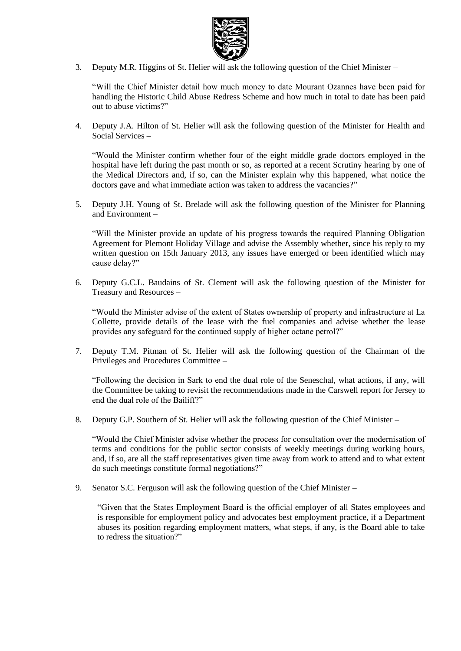

3. Deputy M.R. Higgins of St. Helier will ask the following question of the Chief Minister –

"Will the Chief Minister detail how much money to date Mourant Ozannes have been paid for handling the Historic Child Abuse Redress Scheme and how much in total to date has been paid out to abuse victims?"

4. Deputy J.A. Hilton of St. Helier will ask the following question of the Minister for Health and Social Services –

"Would the Minister confirm whether four of the eight middle grade doctors employed in the hospital have left during the past month or so, as reported at a recent Scrutiny hearing by one of the Medical Directors and, if so, can the Minister explain why this happened, what notice the doctors gave and what immediate action was taken to address the vacancies?"

5. Deputy J.H. Young of St. Brelade will ask the following question of the Minister for Planning and Environment –

"Will the Minister provide an update of his progress towards the required Planning Obligation Agreement for Plemont Holiday Village and advise the Assembly whether, since his reply to my written question on 15th January 2013, any issues have emerged or been identified which may cause delay?"

6. Deputy G.C.L. Baudains of St. Clement will ask the following question of the Minister for Treasury and Resources –

"Would the Minister advise of the extent of States ownership of property and infrastructure at La Collette, provide details of the lease with the fuel companies and advise whether the lease provides any safeguard for the continued supply of higher octane petrol?"

7. Deputy T.M. Pitman of St. Helier will ask the following question of the Chairman of the Privileges and Procedures Committee –

"Following the decision in Sark to end the dual role of the Seneschal, what actions, if any, will the Committee be taking to revisit the recommendations made in the Carswell report for Jersey to end the dual role of the Bailiff?"

8. Deputy G.P. Southern of St. Helier will ask the following question of the Chief Minister –

"Would the Chief Minister advise whether the process for consultation over the modernisation of terms and conditions for the public sector consists of weekly meetings during working hours, and, if so, are all the staff representatives given time away from work to attend and to what extent do such meetings constitute formal negotiations?"

9. Senator S.C. Ferguson will ask the following question of the Chief Minister –

"Given that the States Employment Board is the official employer of all States employees and is responsible for employment policy and advocates best employment practice, if a Department abuses its position regarding employment matters, what steps, if any, is the Board able to take to redress the situation?"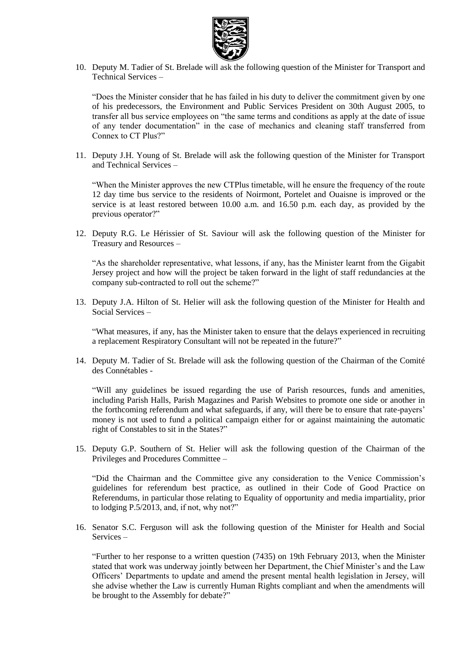

10. Deputy M. Tadier of St. Brelade will ask the following question of the Minister for Transport and Technical Services –

"Does the Minister consider that he has failed in his duty to deliver the commitment given by one of his predecessors, the Environment and Public Services President on 30th August 2005, to transfer all bus service employees on "the same terms and conditions as apply at the date of issue of any tender documentation" in the case of mechanics and cleaning staff transferred from Connex to CT Plus?"

11. Deputy J.H. Young of St. Brelade will ask the following question of the Minister for Transport and Technical Services –

"When the Minister approves the new CTPlus timetable, will he ensure the frequency of the route 12 day time bus service to the residents of Noirmont, Portelet and Ouaisne is improved or the service is at least restored between 10.00 a.m. and 16.50 p.m. each day, as provided by the previous operator?"

12. Deputy R.G. Le Hérissier of St. Saviour will ask the following question of the Minister for Treasury and Resources –

"As the shareholder representative, what lessons, if any, has the Minister learnt from the Gigabit Jersey project and how will the project be taken forward in the light of staff redundancies at the company sub-contracted to roll out the scheme?"

13. Deputy J.A. Hilton of St. Helier will ask the following question of the Minister for Health and Social Services –

"What measures, if any, has the Minister taken to ensure that the delays experienced in recruiting a replacement Respiratory Consultant will not be repeated in the future?"

14. Deputy M. Tadier of St. Brelade will ask the following question of the Chairman of the Comité des Connétables -

"Will any guidelines be issued regarding the use of Parish resources, funds and amenities, including Parish Halls, Parish Magazines and Parish Websites to promote one side or another in the forthcoming referendum and what safeguards, if any, will there be to ensure that rate-payers' money is not used to fund a political campaign either for or against maintaining the automatic right of Constables to sit in the States?"

15. Deputy G.P. Southern of St. Helier will ask the following question of the Chairman of the Privileges and Procedures Committee –

"Did the Chairman and the Committee give any consideration to the Venice Commission's guidelines for referendum best practice, as outlined in their Code of Good Practice on Referendums, in particular those relating to Equality of opportunity and media impartiality, prior to lodging P.5/2013, and, if not, why not?"

16. Senator S.C. Ferguson will ask the following question of the Minister for Health and Social Services –

"Further to her response to a written question (7435) on 19th February 2013, when the Minister stated that work was underway jointly between her Department, the Chief Minister's and the Law Officers' Departments to update and amend the present mental health legislation in Jersey, will she advise whether the Law is currently Human Rights compliant and when the amendments will be brought to the Assembly for debate?"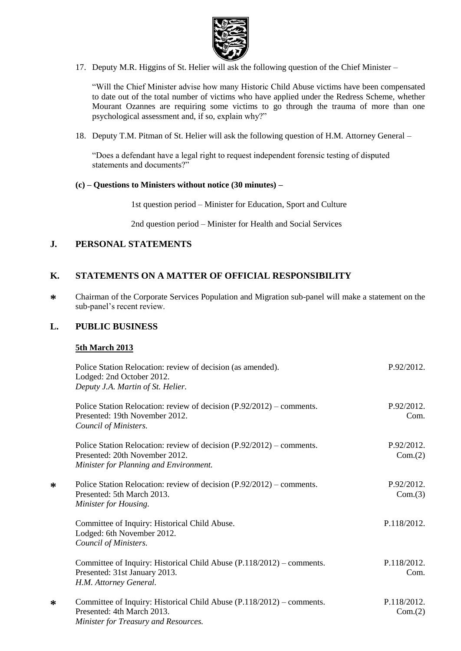

17. Deputy M.R. Higgins of St. Helier will ask the following question of the Chief Minister –

"Will the Chief Minister advise how many Historic Child Abuse victims have been compensated to date out of the total number of victims who have applied under the Redress Scheme, whether Mourant Ozannes are requiring some victims to go through the trauma of more than one psychological assessment and, if so, explain why?"

18. Deputy T.M. Pitman of St. Helier will ask the following question of H.M. Attorney General –

"Does a defendant have a legal right to request independent forensic testing of disputed statements and documents?"

#### **(c) – Questions to Ministers without notice (30 minutes) –**

1st question period – Minister for Education, Sport and Culture

2nd question period – Minister for Health and Social Services

### **J. PERSONAL STATEMENTS**

### **K. STATEMENTS ON A MATTER OF OFFICIAL RESPONSIBILITY**

**\*** Chairman of the Corporate Services Population and Migration sub-panel will make a statement on the sub-panel's recent review.

#### **L. PUBLIC BUSINESS**

#### **5th March 2013**

**\***

| Police Station Relocation: review of decision (as amended).<br>Lodged: 2nd October 2012.<br>Deputy J.A. Martin of St. Helier.                     | P.92/2012.             |
|---------------------------------------------------------------------------------------------------------------------------------------------------|------------------------|
| Police Station Relocation: review of decision (P.92/2012) – comments.<br>Presented: 19th November 2012.<br>Council of Ministers.                  | P.92/2012.<br>Com.     |
| Police Station Relocation: review of decision (P.92/2012) – comments.<br>Presented: 20th November 2012.<br>Minister for Planning and Environment. | P.92/2012.<br>Com.(2)  |
| Police Station Relocation: review of decision (P.92/2012) – comments.<br>Presented: 5th March 2013.<br>Minister for Housing.                      | P.92/2012.<br>Com.(3)  |
| Committee of Inquiry: Historical Child Abuse.<br>Lodged: 6th November 2012.<br>Council of Ministers.                                              | P.118/2012.            |
| Committee of Inquiry: Historical Child Abuse (P.118/2012) – comments.<br>Presented: 31st January 2013.<br>H.M. Attorney General.                  | P.118/2012.<br>Com.    |
| Committee of Inquiry: Historical Child Abuse (P.118/2012) – comments.<br>Presented: 4th March 2013.<br>Minister for Treasury and Resources.       | P.118/2012.<br>Com.(2) |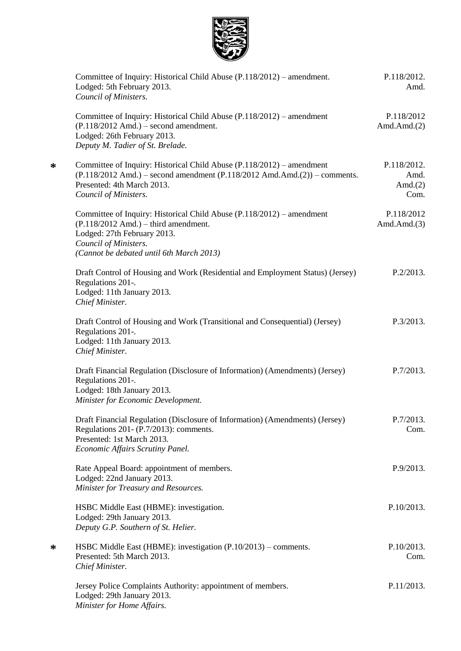

**\***

| Committee of Inquiry: Historical Child Abuse (P.118/2012) – amendment.<br>Lodged: 5th February 2013.<br>Council of Ministers.                                                                                       | P.118/2012.<br>Amd.                       |
|---------------------------------------------------------------------------------------------------------------------------------------------------------------------------------------------------------------------|-------------------------------------------|
| Committee of Inquiry: Historical Child Abuse (P.118/2012) – amendment<br>$(P.118/2012$ Amd.) – second amendment.<br>Lodged: 26th February 2013.<br>Deputy M. Tadier of St. Brelade.                                 | P.118/2012<br>Amd. $Amd.(2)$              |
| Committee of Inquiry: Historical Child Abuse (P.118/2012) – amendment<br>$(P.118/2012$ Amd.) – second amendment $(P.118/2012$ Amd.Amd. $(2))$ – comments.<br>Presented: 4th March 2013.<br>Council of Ministers.    | P.118/2012.<br>Amd.<br>Amd. $(2)$<br>Com. |
| Committee of Inquiry: Historical Child Abuse (P.118/2012) – amendment<br>$(P.118/2012$ Amd.) – third amendment.<br>Lodged: 27th February 2013.<br>Council of Ministers.<br>(Cannot be debated until 6th March 2013) | P.118/2012<br>Amd. $Amd.(3)$              |
| Draft Control of Housing and Work (Residential and Employment Status) (Jersey)<br>Regulations 201-.<br>Lodged: 11th January 2013.<br>Chief Minister.                                                                | P.2/2013.                                 |
| Draft Control of Housing and Work (Transitional and Consequential) (Jersey)<br>Regulations 201-.<br>Lodged: 11th January 2013.<br>Chief Minister.                                                                   | P.3/2013.                                 |
| Draft Financial Regulation (Disclosure of Information) (Amendments) (Jersey)<br>Regulations 201-.<br>Lodged: 18th January 2013.<br>Minister for Economic Development.                                               | P.7/2013.                                 |
| Draft Financial Regulation (Disclosure of Information) (Amendments) (Jersey)<br>Regulations 201- (P.7/2013): comments.<br>Presented: 1st March 2013.<br>Economic Affairs Scrutiny Panel.                            | P.7/2013.<br>Com.                         |
| Rate Appeal Board: appointment of members.<br>Lodged: 22nd January 2013.<br>Minister for Treasury and Resources.                                                                                                    | P.9/2013.                                 |
| HSBC Middle East (HBME): investigation.<br>Lodged: 29th January 2013.<br>Deputy G.P. Southern of St. Helier.                                                                                                        | P.10/2013.                                |
| HSBC Middle East (HBME): investigation (P.10/2013) – comments.<br>Presented: 5th March 2013.<br>Chief Minister.                                                                                                     | P.10/2013.<br>Com.                        |
| Jersey Police Complaints Authority: appointment of members.<br>Lodged: 29th January 2013.<br>Minister for Home Affairs.                                                                                             | P.11/2013.                                |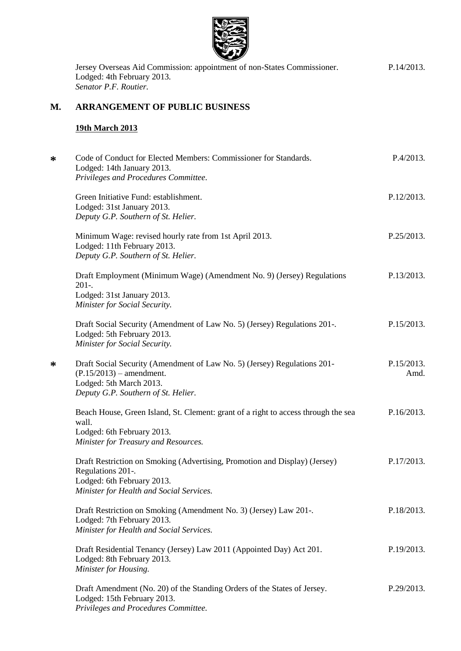

Jersey Overseas Aid Commission: appointment of non-States Commissioner. Lodged: 4th February 2013. *Senator P.F. Routier.* P.14/2013.

# **M. ARRANGEMENT OF PUBLIC BUSINESS**

## **19th March 2013**

| ∗ | Code of Conduct for Elected Members: Commissioner for Standards.<br>Lodged: 14th January 2013.<br>Privileges and Procedures Committee.                                    | P.4/2013.          |
|---|---------------------------------------------------------------------------------------------------------------------------------------------------------------------------|--------------------|
|   | Green Initiative Fund: establishment.<br>Lodged: 31st January 2013.<br>Deputy G.P. Southern of St. Helier.                                                                | P.12/2013.         |
|   | Minimum Wage: revised hourly rate from 1st April 2013.<br>Lodged: 11th February 2013.<br>Deputy G.P. Southern of St. Helier.                                              | P.25/2013.         |
|   | Draft Employment (Minimum Wage) (Amendment No. 9) (Jersey) Regulations<br>$201-.$<br>Lodged: 31st January 2013.<br>Minister for Social Security.                          | P.13/2013.         |
|   | Draft Social Security (Amendment of Law No. 5) (Jersey) Regulations 201-.<br>Lodged: 5th February 2013.<br>Minister for Social Security.                                  | P.15/2013.         |
| ∗ | Draft Social Security (Amendment of Law No. 5) (Jersey) Regulations 201-<br>$(P.15/2013)$ – amendment.<br>Lodged: 5th March 2013.<br>Deputy G.P. Southern of St. Helier.  | P.15/2013.<br>Amd. |
|   | Beach House, Green Island, St. Clement: grant of a right to access through the sea<br>wall.<br>Lodged: 6th February 2013.<br>Minister for Treasury and Resources.         | P.16/2013.         |
|   | Draft Restriction on Smoking (Advertising, Promotion and Display) (Jersey)<br>Regulations 201-.<br>Lodged: 6th February 2013.<br>Minister for Health and Social Services. | P.17/2013.         |
|   | Draft Restriction on Smoking (Amendment No. 3) (Jersey) Law 201-.<br>Lodged: 7th February 2013.<br>Minister for Health and Social Services.                               | P.18/2013.         |
|   | Draft Residential Tenancy (Jersey) Law 2011 (Appointed Day) Act 201.<br>Lodged: 8th February 2013.<br>Minister for Housing.                                               | P.19/2013.         |
|   | Draft Amendment (No. 20) of the Standing Orders of the States of Jersey.<br>Lodged: 15th February 2013.<br>Privileges and Procedures Committee.                           | P.29/2013.         |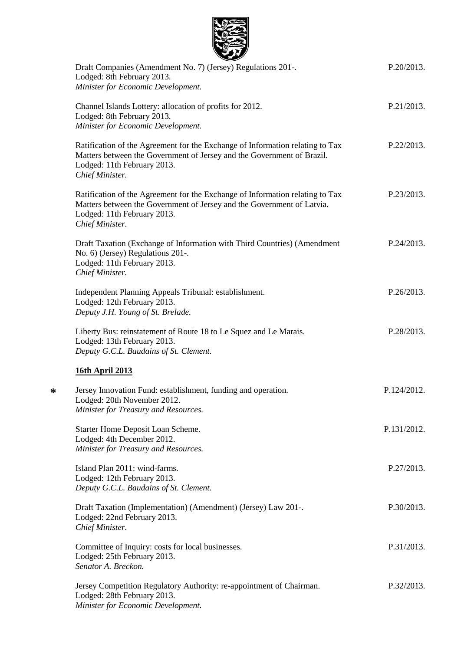| Draft Companies (Amendment No. 7) (Jersey) Regulations 201-.<br>Lodged: 8th February 2013.<br>Minister for Economic Development.                                                                          | P.20/2013.  |
|-----------------------------------------------------------------------------------------------------------------------------------------------------------------------------------------------------------|-------------|
| Channel Islands Lottery: allocation of profits for 2012.<br>Lodged: 8th February 2013.<br>Minister for Economic Development.                                                                              | P.21/2013.  |
| Ratification of the Agreement for the Exchange of Information relating to Tax<br>Matters between the Government of Jersey and the Government of Brazil.<br>Lodged: 11th February 2013.<br>Chief Minister. | P.22/2013.  |
| Ratification of the Agreement for the Exchange of Information relating to Tax<br>Matters between the Government of Jersey and the Government of Latvia.<br>Lodged: 11th February 2013.<br>Chief Minister. | P.23/2013.  |
| Draft Taxation (Exchange of Information with Third Countries) (Amendment<br>No. 6) (Jersey) Regulations 201-.<br>Lodged: 11th February 2013.<br>Chief Minister.                                           | P.24/2013.  |
| Independent Planning Appeals Tribunal: establishment.<br>Lodged: 12th February 2013.<br>Deputy J.H. Young of St. Brelade.                                                                                 | P.26/2013.  |
| Liberty Bus: reinstatement of Route 18 to Le Squez and Le Marais.<br>Lodged: 13th February 2013.<br>Deputy G.C.L. Baudains of St. Clement.                                                                | P.28/2013.  |
| <b>16th April 2013</b>                                                                                                                                                                                    |             |
| Jersey Innovation Fund: establishment, funding and operation.<br>Lodged: 20th November 2012.<br>Minister for Treasury and Resources.                                                                      | P.124/2012. |
| Starter Home Deposit Loan Scheme.<br>Lodged: 4th December 2012.<br>Minister for Treasury and Resources.                                                                                                   | P.131/2012. |
| Island Plan 2011: wind-farms.<br>Lodged: 12th February 2013.<br>Deputy G.C.L. Baudains of St. Clement.                                                                                                    | P.27/2013.  |
| Draft Taxation (Implementation) (Amendment) (Jersey) Law 201-.<br>Lodged: 22nd February 2013.<br>Chief Minister.                                                                                          | P.30/2013.  |
| Committee of Inquiry: costs for local businesses.<br>Lodged: 25th February 2013.<br>Senator A. Breckon.                                                                                                   | P.31/2013.  |
| Jersey Competition Regulatory Authority: re-appointment of Chairman.<br>Lodged: 28th February 2013.<br>Minister for Economic Development.                                                                 | P.32/2013.  |

1095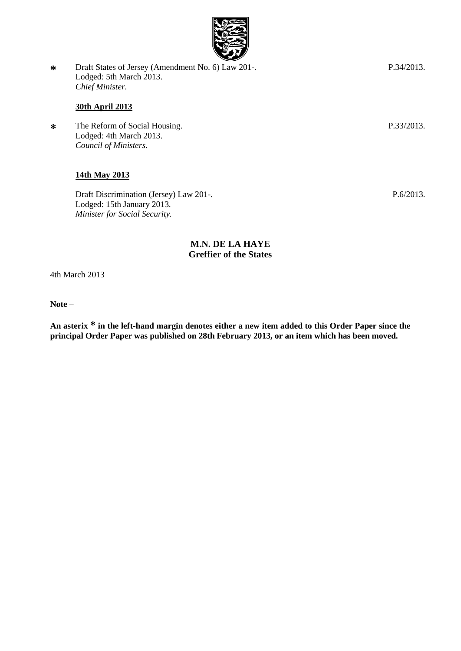

**\*** Draft States of Jersey (Amendment No. 6) Law 201-. Lodged: 5th March 2013. *Chief Minister.*

# **30th April 2013**

**\*** The Reform of Social Housing. Lodged: 4th March 2013. *Council of Ministers.*

# **14th May 2013**

Draft Discrimination (Jersey) Law 201-. Lodged: 15th January 2013. *Minister for Social Security.*

## **M.N. DE LA HAYE Greffier of the States**

4th March 2013

**Note –**

**An asterix \* in the left-hand margin denotes either a new item added to this Order Paper since the principal Order Paper was published on 28th February 2013, or an item which has been moved.**

P.33/2013.

P.6/2013.